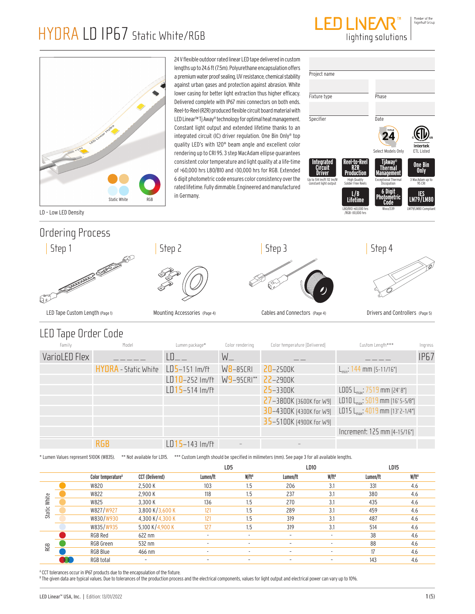



24 V flexible outdoor rated linear LED tape delivered in custom lengths up to 24.6 ft (7.5m). Polyurethane encapsulation offers a premium water proof sealing, UV resistance, chemical stability against urban gases and protection against abrasion. White lower casing for better light extraction thus higher efficacy. Delivered complete with IP67 mini connectors on both ends. Reel-to-Reel (R2R) produced flexible circuit board material with LED Linear™ Tj Away® technology for optimal heat management. Constant light output and extended lifetime thanks to an integrated circuit (IC) driver regulation. One Bin Only® top quality LED's with 120° beam angle and excellent color rendering up to CRI 95. 3 step MacAdam ellipse guarantees consistent color temperature and light quality at a life-time of >60,000 hrs L80/B10 and >30,000 hrs for RGB. Extended 6 digit photometric code ensures color consistency over the rated lifetime. Fully dimmable. Engineered and manufactured in Germany.

| Project name                                                           |                                                                        |                                                                             |                                                            |
|------------------------------------------------------------------------|------------------------------------------------------------------------|-----------------------------------------------------------------------------|------------------------------------------------------------|
|                                                                        |                                                                        |                                                                             |                                                            |
| Fixture type                                                           |                                                                        | Phase                                                                       |                                                            |
|                                                                        |                                                                        |                                                                             |                                                            |
| Specifier                                                              |                                                                        | <b>Date</b>                                                                 |                                                            |
|                                                                        |                                                                        | TITLE<br>◢<br>Select Models Only                                            | Intertek<br><b>FTL Listed</b>                              |
| <b>Integrated</b><br>Up to 514 Im/ft 112 Im/W<br>constant light output | Reel-to-Reel<br>Production<br><b>High Quality</b><br>Solder Free Reels | TjAway<br>Therma<br>lanadement<br><b>Exceptional Thermal</b><br>Dissipation | <b>One Bin</b><br><b>Only</b><br>3 MacAdam up to<br>95 CRI |
|                                                                        | L/B<br>Lifetime<br>L80/B10 >60.000 hrs<br>/RGB >30,000 hrs             | 6 Diait<br>Photometric<br>Code<br>Wxxx/339                                  | IES<br><b>LM79/LM80</b><br>LM79/LM80 Compliant             |

LD – Low LED Density

## Ordering Process



### LED Tape Order Code

| Family        | Model                       | Lumen package*     | Color rendering | Color temperature (Delivered) | Custom Length***                         | Ingress     |
|---------------|-----------------------------|--------------------|-----------------|-------------------------------|------------------------------------------|-------------|
| VarioLED Flex |                             | I N                | $W_{-}$         |                               |                                          | <b>IP67</b> |
|               | <b>HYDRA</b> - Static White | $LD5-151$ lm/ft    | $W8 - 85CRI$    | $20 - 2500K$                  | $L_{min}: 144$ mm $[5-11/16"]$           |             |
|               |                             | $LD10-252$ Im/ft   | $W9-95CRI**$    | $22 - 2900K$                  |                                          |             |
|               |                             | $LD15 - 514$ Im/ft |                 | 25-3300K                      | LD05 L <sub>max</sub> : 7519 mm (24' 8") |             |
|               |                             |                    |                 | $27 - 3800K$ (3600K for W9)   | LD10 $L_{max}$ : 5019 mm (16' 5-5/8")    |             |
|               |                             |                    |                 | $30 - 4300K$ (4300K for W9)   | LD15 $L_{max}$ : 4019 mm (13' 2-1/4")    |             |
|               |                             |                    |                 | 35-5100K (4900K for W9)       |                                          |             |
|               |                             |                    |                 |                               | Increment: 125 mm (4-15/16")             |             |
|               | <b>RGB</b>                  | $LD15-143$ Im/ft   |                 |                               |                                          |             |

\* Lumen Values represent 5100K (W835). \*\* Not available for LD15. \*\*\* Custom Length should be specified in milimeters (mm). See page 3 for all available lengths.

| W/ft <sup>B</sup><br>W/ft <sup>B</sup><br>W/ft <sup>B</sup><br>Lumen/ft<br>Lumen/ft<br>Lumen/ft<br>CCT (Delivered)<br>Color temperature <sup>A</sup><br>1.5<br>W820<br>103<br>206<br>3.1<br>331<br>2,500 K<br>4.6<br>237<br>2.900 K<br>118<br>380<br>W822<br>1.5<br>3.1<br>4.6 |  |
|--------------------------------------------------------------------------------------------------------------------------------------------------------------------------------------------------------------------------------------------------------------------------------|--|
|                                                                                                                                                                                                                                                                                |  |
|                                                                                                                                                                                                                                                                                |  |
|                                                                                                                                                                                                                                                                                |  |
| White<br>136<br>270<br>W825<br>3.300 K<br>435<br>1.5<br>3.1<br>4.6                                                                                                                                                                                                             |  |
| Static<br>W827/W927<br>3,800 K/3,600 K<br>289<br>1.5<br>459<br>121<br>3.1<br>4.6                                                                                                                                                                                               |  |
| W830/W930<br>4,300 K/4,300 K<br>319<br>487<br>121<br>1.5<br>3.1<br>4.6                                                                                                                                                                                                         |  |
| W835/W935<br>5,100 K/4,900 K<br>127<br>319<br>1.5<br>3.1<br>514<br>4.6                                                                                                                                                                                                         |  |
| 38<br>RGB Red<br>$622$ nm<br>4.6<br>$\sim$<br>$\overline{\phantom{a}}$<br>۰                                                                                                                                                                                                    |  |
| 88<br>RGB Green<br>532 nm<br>4.6<br>$\sim$<br>۰<br>$\overline{\phantom{a}}$<br>$\overline{\phantom{a}}$<br><b>RGB</b>                                                                                                                                                          |  |
| RGB Blue<br>17<br>466 nm<br>4.6<br>$\sim$<br>٠<br>$\overline{\phantom{a}}$                                                                                                                                                                                                     |  |
| RGB total<br>143<br>4.6<br>$\sim$<br>۰<br>۰<br>۰                                                                                                                                                                                                                               |  |

<sup>A</sup> CCT tolerances occur in IP67 products due to the encapsulation of the fixture.

 $^{\circ}$  The given data are typical values. Due to tolerances of the production process and the electrical components, values for light output and electrical power can vary up to 10%.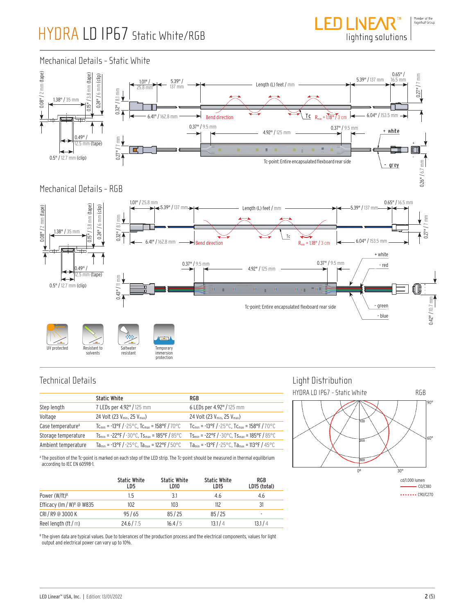

#### Mechanical Details - Static White



#### Mechanical Details - RGB



### Technical Details

|                               | <b>Static White</b>                                                 | RGB                                                                 |
|-------------------------------|---------------------------------------------------------------------|---------------------------------------------------------------------|
| Step length                   | 7 LEDs per 4.92" / 125 mm                                           | 6 LEDs per 4.92" / 125 mm                                           |
| Voltage                       | 24 Volt (23 $V_{\text{min}}$ , 25 $V_{\text{max}}$ )                | 24 Volt (23 $V_{min}$ , 25 $V_{max}$ )                              |
| Case temperature <sup>A</sup> | $T_{\rm C_{min}}$ = -13°F / -25°C, $T_{\rm C_{max}}$ = 158°F / 70°C | $T_{\rm C_{min}}$ = -13°F / -25°C, $T_{\rm C_{max}}$ = 158°F / 70°C |
| Storage temperature           | $Ts_{min}$ = -22°F / -30°C, $Ts_{max}$ = 185°F / 85°C               | $T_{\rm Smin}$ = -22°F / -30°C, Ts <sub>max</sub> = 185°F / 85°C    |
| Ambient temperature           | Ta <sub>min</sub> = -13°F / -25°C, Ta <sub>max</sub> = 122°F / 50°C | Ta <sub>min</sub> = -13°F / -25°C, Ta <sub>max</sub> = 113°F / 45°C |

A The position of the Tc-point is marked on each step of the LED strip. The Tc-point should be measured in thermal equilibrium according to IEC EN 60598-1.

|                                       | <b>Static White</b><br>LD5 | <b>Static White</b><br>LD10 | <b>Static White</b><br>LD <sub>15</sub> | <b>RGB</b><br>LD15 (total) |
|---------------------------------------|----------------------------|-----------------------------|-----------------------------------------|----------------------------|
| Power $(W/ft)^{B}$                    | 1.5                        | 3.1                         | 4.6                                     | 4.6                        |
| Efficacy (lm / W) <sup>B</sup> @ W835 | 102                        | 103                         | 112                                     | 31                         |
| CRI/R9 @ 3000 K                       | 95/65                      | 85/25                       | 85/25                                   | ۰                          |
| Reel length $(\text{ft}/\text{m})$    | 24.6/7.5                   | 16.4/5                      | 13.1/4                                  | 13.1 / 4                   |

 $^{\circ}$  The given data are typical values. Due to tolerances of the production process and the electrical components, values for light output and electrical power can vary up to 10%.

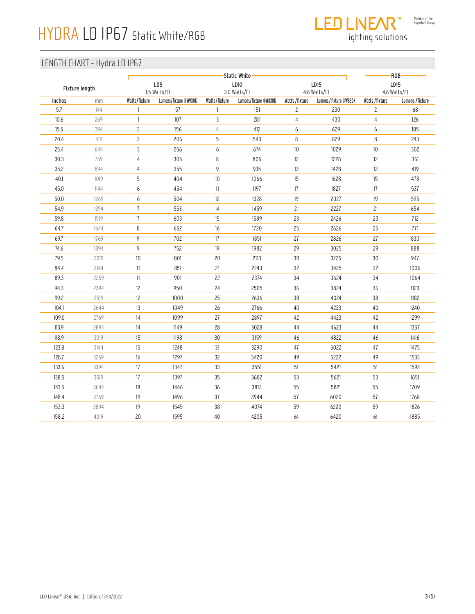

lighting solutions

| Fixture length |      |                | LD5                                   |               | <b>Static White</b><br>LD10           |                | LD15                                    | LD15                          | RGB             |
|----------------|------|----------------|---------------------------------------|---------------|---------------------------------------|----------------|-----------------------------------------|-------------------------------|-----------------|
| inches         | mm   | Watts/fixture  | 1.5 Watts/Ft<br>Lumens/fixture @W930K | Watts/fixture | 3.0 Watts/Ft<br>Lumens/fixture @W830K | Watts/fixture  | 4.6 Watts/Ft<br>Lumens / fixture @W830K | 4.6 Watts/Ft<br>Watts/fixture | Lumens /fixture |
| 5.7            | 144  | $\mathbf{1}$   | 57                                    | 1             | 151                                   | $\overline{c}$ | 230                                     | $\overline{c}$                | 68              |
| 10.6           | 269  | $\mathbf{1}$   | 107                                   | 3             | 281                                   | $\overline{4}$ | 430                                     | $\overline{4}$                | 126             |
| 15.5           | 394  | $\overline{c}$ | 156                                   | 4             | 412                                   | 6              | 629                                     | 6                             | 185             |
| 20.4           | 519  | 3              | 206                                   | 5             | 543                                   | 8              | 829                                     | 8                             | 243             |
| 25.4           | 644  | 3              | 256                                   | 6             | 674                                   | $10$           | 1029                                    | $10$                          | 302             |
| 30.3           | 769  | 4              | 305                                   | 8             | 805                                   | 12             | 1228                                    | 12                            | 361             |
| 35.2           | 894  | 4              | 355                                   | 9             | 935                                   | 13             | 1428                                    | 13                            | 419             |
| 40.1           | 1019 | 5              | 404                                   | 10            | 1066                                  | 15             | 1628                                    | 15                            | 478             |
| 45.0           | 1144 | 6              | 454                                   | $11\,$        | 1197                                  | 17             | 1827                                    | 17                            | 537             |
| 50.0           | 1269 | 6              | 504                                   | 12            | 1328                                  | 19             | 2027                                    | 19                            | 595             |
| 54.9           | 1394 | $\overline{1}$ | 553                                   | $14\,$        | 1459                                  | 21             | 2227                                    | 21                            | 654             |
| 59.8           | 1519 | $\overline{1}$ | 603                                   | 15            | 1589                                  | 23             | 2426                                    | 23                            | 712             |
| 64.7           | 1644 | 8              | 652                                   | 16            | 1720                                  | 25             | 2626                                    | 25                            | 771             |
| 69.7           | 1769 | 9              | 702                                   | $17\,$        | 1851                                  | 27             | 2826                                    | 27                            | 830             |
| 74.6           | 1894 | 9              | 752                                   | 19            | 1982                                  | 29             | 3025                                    | 29                            | 888             |
| 79.5           | 2019 | 10             | 801                                   | 20            | 2113                                  | 30             | 3225                                    | $30\,$                        | 947             |
| 84.4           | 2144 | $11\,$         | 851                                   | 21            | 2243                                  | 32             | 3425                                    | 32                            | 1006            |
| 89.3           | 2269 | $11\,$         | 901                                   | 22            | 2374                                  | 34             | 3624                                    | $34\,$                        | 1064            |
| 94.3           | 2394 | 12             | 950                                   | 24            | 2505                                  | $36\,$         | 3824                                    | $36\,$                        | 1123            |
| 99.2           | 2519 | 12             | 1000                                  | 25            | 2636                                  | 38             | 4024                                    | 38                            | 1182            |
| 104.1          | 2644 | 13             | 1049                                  | 26            | 2766                                  | $40\,$         | 4223                                    | $40\,$                        | 1240            |
| 109.0          | 2769 | 14             | 1099                                  | 27            | 2897                                  | 42             | 4423                                    | 42                            | 1299            |
| 113.9          | 2894 | 14             | 1149                                  | 28            | 3028                                  | 44             | 4623                                    | 44                            | 1357            |
| 118.9          | 3019 | 15             | 1198                                  | 30            | 3159                                  | 46             | 4822                                    | 46                            | 1416            |
| 123.8          | 3144 | 15             | 1248                                  | 31            | 3290                                  | 47             | 5022                                    | 47                            | 1475            |
| 128.7          | 3269 | 16             | 1297                                  | 32            | 3420                                  | 49             | 5222                                    | 49                            | 1533            |
| 133.6          | 3394 | 17             | 1347                                  | 33            | 3551                                  | 51             | 5421                                    | 51                            | 1592            |
| 138.5          | 3519 | 17             | 1397                                  | 35            | 3682                                  | 53             | 5621                                    | 53                            | 1651            |
| 143.5          | 3644 | 18             | 1446                                  | 36            | 3813                                  | 55             | 5821                                    | 55                            | 1709            |
| 148.4          | 3769 | 19             | 1496                                  | 37            | 3944                                  | 57             | 6020                                    | 57                            | 1768            |
| 153.3          | 3894 | 19             | 1545                                  | 38            | 4074                                  | 59             | 6220                                    | 59                            | 1826            |
| 158.2          | 4019 | 20             | 1595                                  | 40            | 4205                                  | 61             | 6420                                    | 61                            | 1885            |
|                |      |                |                                       |               |                                       |                |                                         |                               |                 |
|                |      |                |                                       |               |                                       |                |                                         |                               |                 |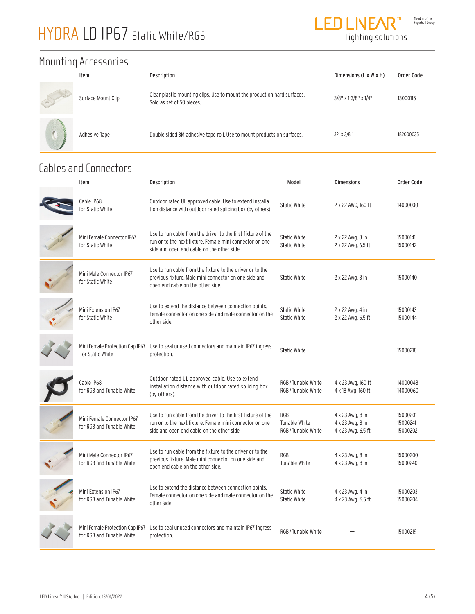

### Mounting Accessories

|   | Item               | Description                                                                                           | Dimensions (L x W x H) | Order Code |
|---|--------------------|-------------------------------------------------------------------------------------------------------|------------------------|------------|
| R | Surface Mount Clip | Clear plastic mounting clips. Use to mount the product on hard surfaces.<br>Sold as set of 50 pieces. | 3/8" x 1-3/8" x 1/4"   | 13000115   |
|   | Adhesive Tape      | Double sided 3M adhesive tape roll. Use to mount products on surfaces.                                | 32' x 3/8"             | 182000035  |

### Cables and Connectors

| Item                                                         | Description                                                                                                                                                            | Model                                                     | <b>Dimensions</b>                                          | <b>Order Code</b>                |
|--------------------------------------------------------------|------------------------------------------------------------------------------------------------------------------------------------------------------------------------|-----------------------------------------------------------|------------------------------------------------------------|----------------------------------|
| Cable IP68<br>for Static White                               | Outdoor rated UL approved cable. Use to extend installa-<br>tion distance with outdoor rated splicing box (by others).                                                 | <b>Static White</b>                                       | 2 x 22 AWG, 160 ft                                         | 14000030                         |
| Mini Female Connector IP67<br>for Static White               | Use to run cable from the driver to the first fixture of the<br>run or to the next fixture. Female mini connector on one<br>side and open end cable on the other side. | <b>Static White</b><br>Static White                       | 2 x 22 Awg, 8 in<br>2 x 22 Awg, 6.5 ft                     | 15000141<br>15000142             |
| Mini Male Connector IP67<br>for Static White                 | Use to run cable from the fixture to the driver or to the<br>previous fixture. Male mini connector on one side and<br>open end cable on the other side.                | <b>Static White</b>                                       | 2 x 22 Awg, 8 in                                           | 15000140                         |
| Mini Extension IP67<br>for Static White                      | Use to extend the distance between connection points.<br>Female connector on one side and male connector on the<br>other side.                                         | <b>Static White</b><br>Static White                       | 2 x 22 Awg, 4 in<br>2 x 22 Awg, 6.5 ft                     | 15000143<br>15000144             |
| for Static White                                             | Mini Female Protection Cap IP67 Use to seal unused connectors and maintain IP67 ingress<br>protection.                                                                 | <b>Static White</b>                                       |                                                            | 15000218                         |
| Cable IP68<br>for RGB and Tunable White                      | Outdoor rated UL approved cable. Use to extend<br>installation distance with outdoor rated splicing box<br>(by others).                                                | RGB/Tunable White<br>RGB/Tunable White                    | 4 x 23 Awg, 160 ft<br>4 x 18 Awg, 160 ft                   | 14000048<br>14000060             |
| Mini Female Connector IP67<br>for RGB and Tunable White      | Use to run cable from the driver to the first fixture of the<br>run or to the next fixture. Female mini connector on one<br>side and open end cable on the other side. | <b>RGB</b><br><b>Tunable White</b><br>RGB / Tunable White | 4 x 23 Awg, 8 in<br>4 x 23 Awg, 8 in<br>4 x 23 Awg, 6.5 ft | 15000201<br>15000241<br>15000202 |
| Mini Male Connector IP67<br>for RGB and Tunable White        | Use to run cable from the fixture to the driver or to the<br>previous fixture. Male mini connector on one side and<br>open end cable on the other side.                | <b>RGB</b><br>Tunable White                               | 4 x 23 Awg, 8 in<br>4 x 23 Awg, 8 in                       | 15000200<br>15000240             |
| Mini Extension IP67<br>for RGB and Tunable White             | Use to extend the distance between connection points.<br>Female connector on one side and male connector on the<br>other side.                                         | <b>Static White</b><br><b>Static White</b>                | 4 x 23 Awg, 4 in<br>4 x 23 Awg 6.5 ft                      | 15000203<br>15000204             |
| Mini Female Protection Cap IP67<br>for RGB and Tunable White | Use to seal unused connectors and maintain IP67 ingress<br>protection.                                                                                                 | RGB / Tunable White                                       |                                                            | 15000219                         |